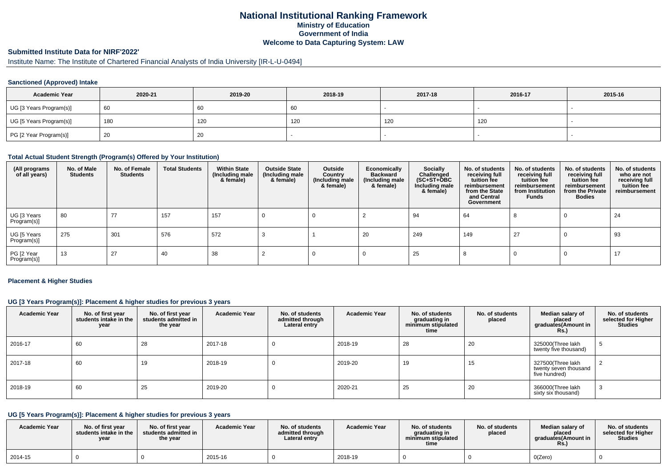# **National Institutional Ranking FrameworkMinistry of Education Government of IndiaWelcome to Data Capturing System: LAW**

# **Submitted Institute Data for NIRF'2022'**

# Institute Name: The Institute of Chartered Financial Analysts of India University [IR-L-U-0494]

### **Sanctioned (Approved) Intake**

| <b>Academic Year</b>    | 2020-21 | 2019-20 | 2018-19 | 2017-18 | 2016-17 | 2015-16 |
|-------------------------|---------|---------|---------|---------|---------|---------|
| UG [3 Years Program(s)] | -60     | 60      | -60     |         |         |         |
| UG [5 Years Program(s)] | 180     | 120     | 120     | 120     | 120     |         |
| PG [2 Year Program(s)]  | 20      | ZU.     |         |         |         |         |

#### **Total Actual Student Strength (Program(s) Offered by Your Institution)**

| (All programs<br>of all years) | No. of Male<br><b>Students</b> | No. of Female<br>Students | <b>Total Students</b> | <b>Within State</b><br>(Including male<br>& female) | <b>Outside State</b><br>(Including male<br>& female) | Outside<br>Country<br>(Including male<br>& female) | Economically<br><b>Backward</b><br>(Including male<br>& female) | <b>Socially</b><br>Challenged<br>$(SC+ST+\text{O}BC)$<br>Including male<br>& female) | No. of students<br>receiving full<br>tuition fee<br>reimbursement<br>from the State<br>and Central<br>Government | No. of students<br>receiving full<br>tuition fee<br>reimbursement<br>from Institution<br><b>Funds</b> | No. of students<br>receiving full<br>tuition fee<br>reimbursement<br>from the Private<br><b>Bodies</b> | No. of students<br>who are not<br>receiving full<br>tuition fee<br>reimbursement |
|--------------------------------|--------------------------------|---------------------------|-----------------------|-----------------------------------------------------|------------------------------------------------------|----------------------------------------------------|-----------------------------------------------------------------|--------------------------------------------------------------------------------------|------------------------------------------------------------------------------------------------------------------|-------------------------------------------------------------------------------------------------------|--------------------------------------------------------------------------------------------------------|----------------------------------------------------------------------------------|
| UG [3 Years<br>Program(s)]     | 80                             | 77                        | 157                   | 157                                                 |                                                      |                                                    |                                                                 | 94                                                                                   | 64                                                                                                               |                                                                                                       |                                                                                                        | 24                                                                               |
| UG [5 Years<br>Program(s)]     | 275                            | 301                       | 576                   | 572                                                 |                                                      |                                                    | 20                                                              | 249                                                                                  | 149                                                                                                              | 27                                                                                                    |                                                                                                        | 93                                                                               |
| PG [2 Year<br>Program(s)]      | 13                             | 27                        | 40                    | 38                                                  |                                                      |                                                    |                                                                 | 25                                                                                   |                                                                                                                  |                                                                                                       |                                                                                                        | 17                                                                               |

### **Placement & Higher Studies**

## **UG [3 Years Program(s)]: Placement & higher studies for previous 3 years**

| <b>Academic Year</b> | No. of first year<br>students intake in the<br>year | No. of first year<br>students admitted in<br>the year | <b>Academic Year</b> | No. of students<br>admitted through<br>Lateral entry | <b>Academic Year</b> | No. of students<br>graduating in<br>minimum stipulated<br>time | No. of students<br>placed | Median salary of<br>placed<br>graduates(Amount in<br>R <sub>S</sub> | No. of students<br>selected for Higher<br><b>Studies</b> |
|----------------------|-----------------------------------------------------|-------------------------------------------------------|----------------------|------------------------------------------------------|----------------------|----------------------------------------------------------------|---------------------------|---------------------------------------------------------------------|----------------------------------------------------------|
| 2016-17              | 60                                                  | 28                                                    | 2017-18              |                                                      | 2018-19              | 28                                                             | 20                        | 325000(Three lakh<br>twenty five thousand)                          |                                                          |
| 2017-18              | 60                                                  | 19                                                    | 2018-19              |                                                      | 2019-20              | 19                                                             | 15                        | 327500(Three lakh<br>twenty seven thousand<br>five hundred)         |                                                          |
| 2018-19              | 60                                                  | 25                                                    | 2019-20              |                                                      | 2020-21              | 25                                                             | 20                        | 366000(Three lakh<br>sixty six thousand)                            |                                                          |

# **UG [5 Years Program(s)]: Placement & higher studies for previous 3 years**

| <b>Academic Year</b> | No. of first year<br>students intake in the<br>year | No. of first year<br>students admitted in<br>the year | <b>Academic Year</b> | No. of students<br>admitted through<br>Lateral entry | <b>Academic Year</b> | No. of students<br>araduating in<br>minimum stipulated<br>time | No. of students<br>placed | Median salary of<br>placed<br>araduates(Amount in<br><b>Rs.</b> ) | No. of students<br>selected for Higher<br><b>Studies</b> |
|----------------------|-----------------------------------------------------|-------------------------------------------------------|----------------------|------------------------------------------------------|----------------------|----------------------------------------------------------------|---------------------------|-------------------------------------------------------------------|----------------------------------------------------------|
| 2014-15              |                                                     |                                                       | 2015-16              |                                                      | 2018-19              |                                                                |                           | O(Zero)                                                           |                                                          |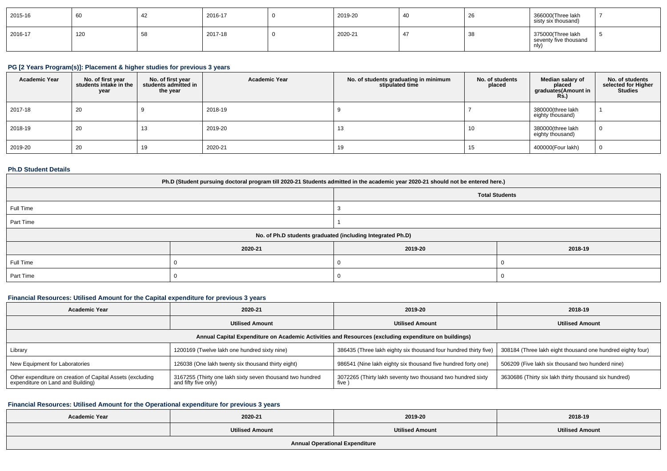| $ 2015-16$ | 60  | ╌   | 2016-17 | 2019-20 | -40 | 20         | 366000(Three lakh<br>sisty six thousand)           |  |
|------------|-----|-----|---------|---------|-----|------------|----------------------------------------------------|--|
| $ 2016-17$ | 120 | ູບເ | 2017-18 | 2020-21 | 4   | - -<br>-38 | 375000(Three lakh<br>seventy five thousand<br>nly) |  |

# **PG [2 Years Program(s)]: Placement & higher studies for previous 3 years**

| <b>Academic Year</b> | No. of first year<br>students intake in the<br>year | No. of first year<br>students admitted in<br>the year | <b>Academic Year</b> | No. of students graduating in minimum<br>stipulated time | No. of students<br>placed | Median salary of<br>placed<br>graduates(Amount in<br><b>Rs.</b> ) | No. of students<br>selected for Higher<br><b>Studies</b> |
|----------------------|-----------------------------------------------------|-------------------------------------------------------|----------------------|----------------------------------------------------------|---------------------------|-------------------------------------------------------------------|----------------------------------------------------------|
| 2017-18              | 20                                                  |                                                       | 2018-19              |                                                          |                           | 380000(three lakh<br>eighty thousand)                             |                                                          |
| 2018-19              | 20                                                  | 13                                                    | 2019-20              | ں ا                                                      | 10                        | 380000(three lakh<br>eighty thousand)                             | $\bf{0}$                                                 |
| 2019-20              | 20                                                  | 19                                                    | 2020-21              | 19                                                       |                           | 400000(Four lakh)                                                 | . 0                                                      |

## **Ph.D Student Details**

| Ph.D (Student pursuing doctoral program till 2020-21 Students admitted in the academic year 2020-21 should not be entered here.) |         |                       |         |  |  |  |
|----------------------------------------------------------------------------------------------------------------------------------|---------|-----------------------|---------|--|--|--|
|                                                                                                                                  |         | <b>Total Students</b> |         |  |  |  |
| Full Time                                                                                                                        |         |                       |         |  |  |  |
| Part Time                                                                                                                        |         |                       |         |  |  |  |
| No. of Ph.D students graduated (including Integrated Ph.D)                                                                       |         |                       |         |  |  |  |
|                                                                                                                                  | 2020-21 | 2019-20               | 2018-19 |  |  |  |
| Full Time                                                                                                                        |         |                       |         |  |  |  |
| Part Time                                                                                                                        |         |                       |         |  |  |  |

## **Financial Resources: Utilised Amount for the Capital expenditure for previous 3 years**

| Academic Year<br>2020-21                                                                             |                                                                                   | 2019-20                                                               | 2018-19                                                    |  |  |  |  |  |
|------------------------------------------------------------------------------------------------------|-----------------------------------------------------------------------------------|-----------------------------------------------------------------------|------------------------------------------------------------|--|--|--|--|--|
|                                                                                                      | <b>Utilised Amount</b>                                                            | <b>Utilised Amount</b>                                                | <b>Utilised Amount</b>                                     |  |  |  |  |  |
| Annual Capital Expenditure on Academic Activities and Resources (excluding expenditure on buildings) |                                                                                   |                                                                       |                                                            |  |  |  |  |  |
| Library                                                                                              | 1200169 (Twelve lakh one hundred sixty nine)                                      | 386435 (Three lakh eighty six thousand four hundred thirty five)      | 308184 (Three lakh eight thousand one hundred eighty four) |  |  |  |  |  |
| New Equipment for Laboratories                                                                       | 126038 (One lakh twenty six thousand thirty eight)                                | 986541 (Nine lakh eighty six thousand five hundred forty one)         | 506209 (Five lakh six thousand two hunderd nine)           |  |  |  |  |  |
| Other expenditure on creation of Capital Assets (excluding<br>expenditure on Land and Building)      | 3167255 (Thirty one lakh sixty seven thousand two hundred<br>and fifty five only) | 3072265 (Thirty lakh seventy two thousand two hundred sixty<br>five ' | 3630686 (Thirty six lakh thirty thousand six hundred)      |  |  |  |  |  |

## **Financial Resources: Utilised Amount for the Operational expenditure for previous 3 years**

| <b>Academic Year</b>                  | 2020-21                | 2019-20                | 2018-19                |  |  |  |  |
|---------------------------------------|------------------------|------------------------|------------------------|--|--|--|--|
|                                       | <b>Utilised Amount</b> | <b>Utilised Amount</b> | <b>Utilised Amount</b> |  |  |  |  |
| <b>Annual Operational Expenditure</b> |                        |                        |                        |  |  |  |  |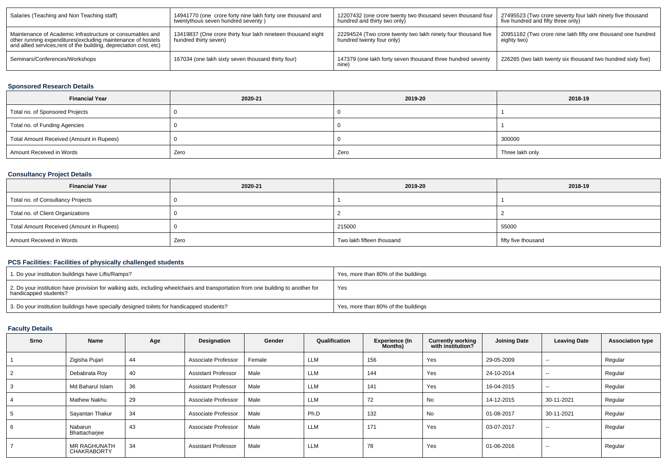| Salaries (Teaching and Non Teaching staff)                                                                                                                                                     | 14941770 (one crore forty nine lakh forty one thousand and<br>twentythous seven hundred seventy) | 12207432 (one crore twenty two thousand seven thousand four<br>hundred and thirty two only) | 27495523 (Two crore seventy four lakh ninety five thousand<br>five hundred and fifty three only) |
|------------------------------------------------------------------------------------------------------------------------------------------------------------------------------------------------|--------------------------------------------------------------------------------------------------|---------------------------------------------------------------------------------------------|--------------------------------------------------------------------------------------------------|
| Maintenance of Academic Infrastructure or consumables and<br>other running expenditures(excluding maintenance of hostels<br>and allied services, rent of the building, depreciation cost, etc) | 13419837 (One crore thirty four lakh nineteen thousand eight<br>hundred thirty seven)            | 22294524 (Two crore twenty two lakh ninety four thousand five<br>hundred twenty four only)  | 20951182 (Two crore nine lakh fifty one thousand one hundred<br>eighty two)                      |
| Seminars/Conferences/Workshops                                                                                                                                                                 | 167034 (one lakh sixty seven thousand thirty four)                                               | 147379 (one lakh forty seven thousand three hundred seventy<br>nine <sup>'</sup>            | 226265 (two lakh twenty six thousand two hundred sixty five)                                     |

## **Sponsored Research Details**

| <b>Financial Year</b>                    | 2020-21 | 2019-20 | 2018-19         |
|------------------------------------------|---------|---------|-----------------|
| Total no. of Sponsored Projects          |         |         |                 |
| Total no. of Funding Agencies            |         |         |                 |
| Total Amount Received (Amount in Rupees) |         |         | 300000          |
| Amount Received in Words                 | Zero    | Zero    | Three lakh only |

# **Consultancy Project Details**

| <b>Financial Year</b>                    | 2020-21 | 2019-20                   | 2018-19             |
|------------------------------------------|---------|---------------------------|---------------------|
| Total no. of Consultancy Projects        |         |                           |                     |
| Total no. of Client Organizations        |         |                           |                     |
| Total Amount Received (Amount in Rupees) |         | 215000                    | 55000               |
| Amount Received in Words                 | Zero    | Two lakh fifteen thousand | fifty five thousand |

# **PCS Facilities: Facilities of physically challenged students**

| 1. Do your institution buildings have Lifts/Ramps?                                                                                                         | Yes, more than 80% of the buildings |
|------------------------------------------------------------------------------------------------------------------------------------------------------------|-------------------------------------|
| 2. Do your institution have provision for walking aids, including wheelchairs and transportation from one building to another for<br>handicapped students? | Yes                                 |
| 3. Do your institution buildings have specially designed toilets for handicapped students?                                                                 | Yes, more than 80% of the buildings |

## **Faculty Details**

| <b>Srno</b> | Name                                      | Age | Designation                | Gender | Qualification | <b>Experience (In</b><br><b>Months</b> ) | <b>Currently working</b><br>with institution? | <b>Joining Date</b> | <b>Leaving Date</b>      | <b>Association type</b> |
|-------------|-------------------------------------------|-----|----------------------------|--------|---------------|------------------------------------------|-----------------------------------------------|---------------------|--------------------------|-------------------------|
|             | Zigisha Pujari                            | 44  | Associate Professor        | Female | <b>LLM</b>    | 156                                      | Yes                                           | 29-05-2009          | $\overline{\phantom{a}}$ | Regular                 |
|             | Debabrata Roy                             | 40  | <b>Assistant Professor</b> | Male   | <b>LLM</b>    | 144                                      | Yes                                           | 24-10-2014          | $\overline{\phantom{a}}$ | Regular                 |
|             | Md Baharul Islam                          | 36  | <b>Assistant Professor</b> | Male   | <b>LLM</b>    | 141                                      | Yes                                           | 16-04-2015          | $\overline{\phantom{a}}$ | Regular                 |
|             | <b>Mathew Nakhu</b>                       | 29  | Associate Professor        | Male   | <b>LLM</b>    | 72                                       | No                                            | 14-12-2015          | 30-11-2021               | Regular                 |
|             | Sayantan Thakur                           | 34  | Associate Professor        | Male   | Ph.D          | 132                                      | No                                            | 01-08-2017          | 30-11-2021               | Regular                 |
|             | Nabarun<br>Bhattacharjee                  | -43 | Associate Professor        | Male   | <b>LLM</b>    | 171                                      | Yes                                           | 03-07-2017          | $\sim$ $\sim$            | Regular                 |
|             | <b>MR RAGHUNATH</b><br><b>CHAKRABORTY</b> | 34  | <b>Assistant Professor</b> | Male   | <b>LLM</b>    | 78                                       | Yes                                           | 01-06-2016          | $\overline{\phantom{a}}$ | Regular                 |